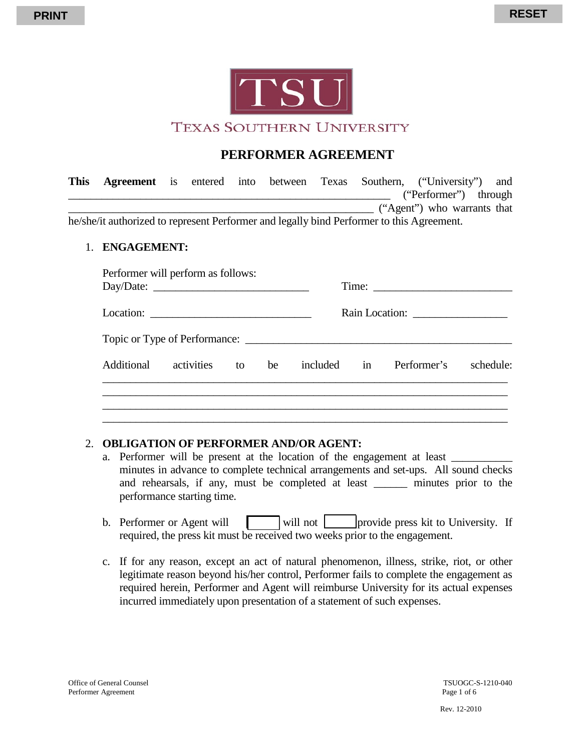

## **PERFORMER AGREEMENT**

| This |                                             |  |  |  | <b>Agreement</b> is entered into between Texas Southern, ("University") and |  |
|------|---------------------------------------------|--|--|--|-----------------------------------------------------------------------------|--|
|      |                                             |  |  |  | ("Performer") through                                                       |  |
|      |                                             |  |  |  | ("Agent") who warrants that                                                 |  |
|      | $1 \quad 1 \quad 1 \quad 1 \quad 1 \quad 1$ |  |  |  |                                                                             |  |

he/she/it authorized to represent Performer and legally bind Performer to this Agreement.

## 1. **ENGAGEMENT:**

| Additional | activities to be |  |  | included in Performer's schedule: |  |
|------------|------------------|--|--|-----------------------------------|--|

## 2. **OBLIGATION OF PERFORMER AND/OR AGENT:**

- a. Performer will be present at the location of the engagement at least \_\_\_\_\_\_\_\_\_\_\_ minutes in advance to complete technical arrangements and set-ups. All sound checks and rehearsals, if any, must be completed at least \_\_\_\_\_\_ minutes prior to the performance starting time.
- b. Performer or Agent will  $\Box$  will not provide press kit to University. If required, the press kit must be received two weeks prior to the engagement.
- c. If for any reason, except an act of natural phenomenon, illness, strike, riot, or other legitimate reason beyond his/her control, Performer fails to complete the engagement as required herein, Performer and Agent will reimburse University for its actual expenses incurred immediately upon presentation of a statement of such expenses.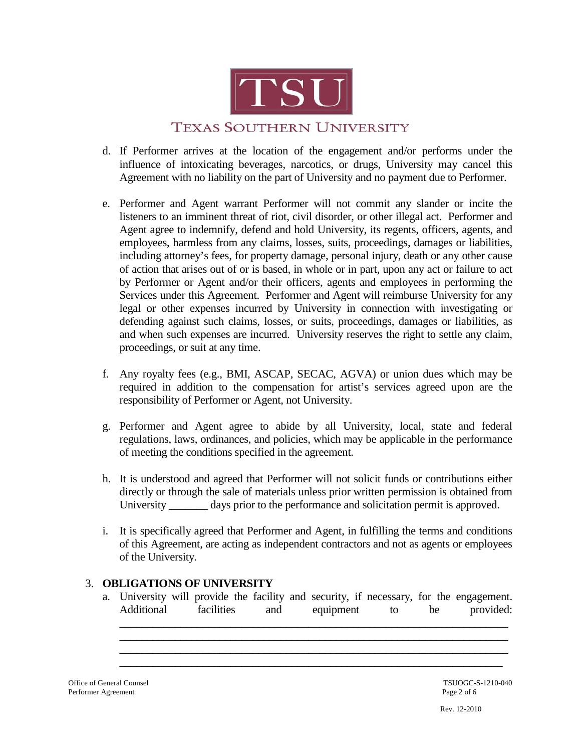

- d. If Performer arrives at the location of the engagement and/or performs under the influence of intoxicating beverages, narcotics, or drugs, University may cancel this Agreement with no liability on the part of University and no payment due to Performer.
- e. Performer and Agent warrant Performer will not commit any slander or incite the listeners to an imminent threat of riot, civil disorder, or other illegal act. Performer and Agent agree to indemnify, defend and hold University, its regents, officers, agents, and employees, harmless from any claims, losses, suits, proceedings, damages or liabilities, including attorney's fees, for property damage, personal injury, death or any other cause of action that arises out of or is based, in whole or in part, upon any act or failure to act by Performer or Agent and/or their officers, agents and employees in performing the Services under this Agreement. Performer and Agent will reimburse University for any legal or other expenses incurred by University in connection with investigating or defending against such claims, losses, or suits, proceedings, damages or liabilities, as and when such expenses are incurred. University reserves the right to settle any claim, proceedings, or suit at any time.
- f. Any royalty fees (e.g., BMI, ASCAP, SECAC, AGVA) or union dues which may be required in addition to the compensation for artist's services agreed upon are the responsibility of Performer or Agent, not University.
- g. Performer and Agent agree to abide by all University, local, state and federal regulations, laws, ordinances, and policies, which may be applicable in the performance of meeting the conditions specified in the agreement.
- h. It is understood and agreed that Performer will not solicit funds or contributions either directly or through the sale of materials unless prior written permission is obtained from University \_\_\_\_\_\_\_ days prior to the performance and solicitation permit is approved.
- i. It is specifically agreed that Performer and Agent, in fulfilling the terms and conditions of this Agreement, are acting as independent contractors and not as agents or employees of the University.

## 3. **OBLIGATIONS OF UNIVERSITY**

a. University will provide the facility and security, if necessary, for the engagement. Additional facilities and equipment to be provided:

\_\_\_\_\_\_\_\_\_\_\_\_\_\_\_\_\_\_\_\_\_\_\_\_\_\_\_\_\_\_\_\_\_\_\_\_\_\_\_\_\_\_\_\_\_\_\_\_\_\_\_\_\_\_\_\_\_\_\_\_\_\_\_\_\_\_\_\_\_\_ \_\_\_\_\_\_\_\_\_\_\_\_\_\_\_\_\_\_\_\_\_\_\_\_\_\_\_\_\_\_\_\_\_\_\_\_\_\_\_\_\_\_\_\_\_\_\_\_\_\_\_\_\_\_\_\_\_\_\_\_\_\_\_\_\_\_\_\_\_\_ \_\_\_\_\_\_\_\_\_\_\_\_\_\_\_\_\_\_\_\_\_\_\_\_\_\_\_\_\_\_\_\_\_\_\_\_\_\_\_\_\_\_\_\_\_\_\_\_\_\_\_\_\_\_\_\_\_\_\_\_\_\_\_\_\_\_\_\_\_\_ \_\_\_\_\_\_\_\_\_\_\_\_\_\_\_\_\_\_\_\_\_\_\_\_\_\_\_\_\_\_\_\_\_\_\_\_\_\_\_\_\_\_\_\_\_\_\_\_\_\_\_\_\_\_\_\_\_\_\_\_\_\_\_\_\_\_\_\_\_

Office of General Counsel<br>
Performer Agreement<br>
Page 2 of 6 Performer Agreement

Rev. 12-2010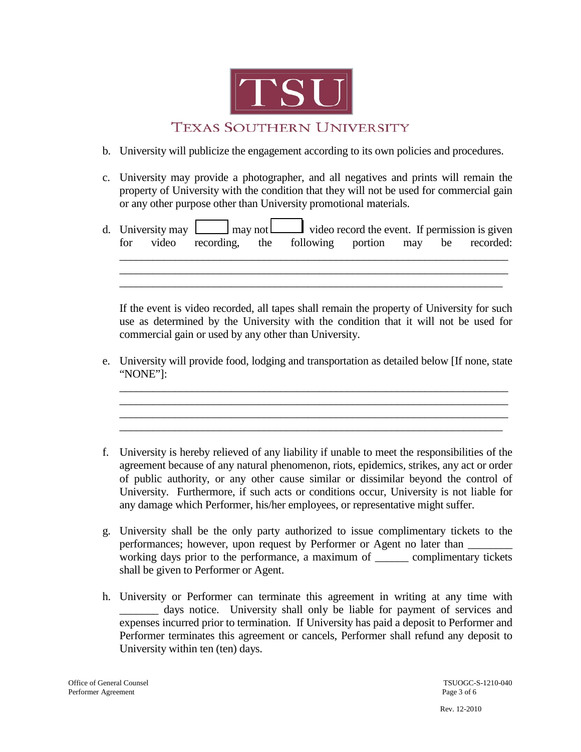

- b. University will publicize the engagement according to its own policies and procedures.
- c. University may provide a photographer, and all negatives and prints will remain the property of University with the condition that they will not be used for commercial gain or any other purpose other than University promotional materials.
- d. University may  $\Box$  may not video record the event. If permission is given for video recording, the following portion may be recorded: \_\_\_\_\_\_\_\_\_\_\_\_\_\_\_\_\_\_\_\_\_\_\_\_\_\_\_\_\_\_\_\_\_\_\_\_\_\_\_\_\_\_\_\_\_\_\_\_\_\_\_\_\_\_\_\_\_\_\_\_\_\_\_\_\_\_\_\_\_\_

\_\_\_\_\_\_\_\_\_\_\_\_\_\_\_\_\_\_\_\_\_\_\_\_\_\_\_\_\_\_\_\_\_\_\_\_\_\_\_\_\_\_\_\_\_\_\_\_\_\_\_\_\_\_\_\_\_\_\_\_\_\_\_\_\_\_\_\_\_\_ \_\_\_\_\_\_\_\_\_\_\_\_\_\_\_\_\_\_\_\_\_\_\_\_\_\_\_\_\_\_\_\_\_\_\_\_\_\_\_\_\_\_\_\_\_\_\_\_\_\_\_\_\_\_\_\_\_\_\_\_\_\_\_\_\_\_\_\_\_

If the event is video recorded, all tapes shall remain the property of University for such use as determined by the University with the condition that it will not be used for commercial gain or used by any other than University.

e. University will provide food, lodging and transportation as detailed below [If none, state "NONE"]:

\_\_\_\_\_\_\_\_\_\_\_\_\_\_\_\_\_\_\_\_\_\_\_\_\_\_\_\_\_\_\_\_\_\_\_\_\_\_\_\_\_\_\_\_\_\_\_\_\_\_\_\_\_\_\_\_\_\_\_\_\_\_\_\_\_\_\_\_\_\_

\_\_\_\_\_\_\_\_\_\_\_\_\_\_\_\_\_\_\_\_\_\_\_\_\_\_\_\_\_\_\_\_\_\_\_\_\_\_\_\_\_\_\_\_\_\_\_\_\_\_\_\_\_\_\_\_\_\_\_\_\_\_\_\_\_\_\_\_\_\_ \_\_\_\_\_\_\_\_\_\_\_\_\_\_\_\_\_\_\_\_\_\_\_\_\_\_\_\_\_\_\_\_\_\_\_\_\_\_\_\_\_\_\_\_\_\_\_\_\_\_\_\_\_\_\_\_\_\_\_\_\_\_\_\_\_\_\_\_\_

- f. University is hereby relieved of any liability if unable to meet the responsibilities of the agreement because of any natural phenomenon, riots, epidemics, strikes, any act or order of public authority, or any other cause similar or dissimilar beyond the control of University. Furthermore, if such acts or conditions occur, University is not liable for any damage which Performer, his/her employees, or representative might suffer.
- g. University shall be the only party authorized to issue complimentary tickets to the performances; however, upon request by Performer or Agent no later than working days prior to the performance, a maximum of \_\_\_\_\_\_ complimentary tickets shall be given to Performer or Agent.
- h. University or Performer can terminate this agreement in writing at any time with \_\_\_\_\_\_\_ days notice. University shall only be liable for payment of services and expenses incurred prior to termination. If University has paid a deposit to Performer and Performer terminates this agreement or cancels, Performer shall refund any deposit to University within ten (ten) days.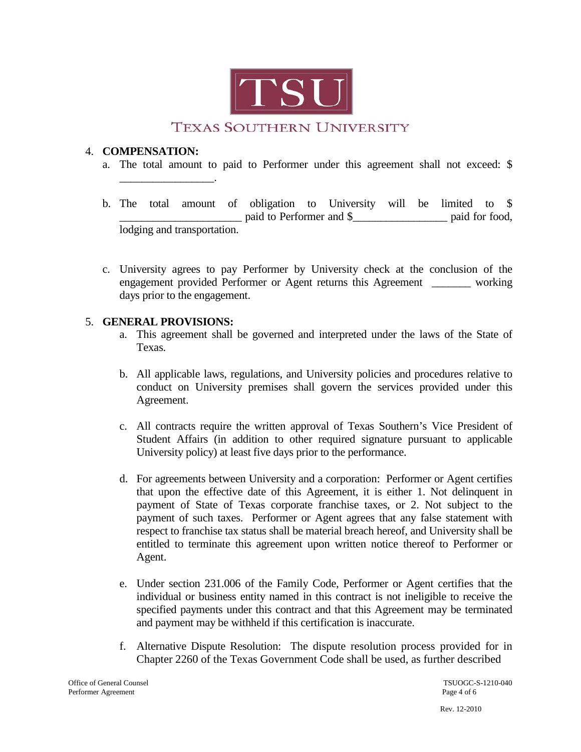

## 4. **COMPENSATION:**

\_\_\_\_\_\_\_\_\_\_\_\_\_\_\_\_\_.

- a. The total amount to paid to Performer under this agreement shall not exceed: \$
- b. The total amount of obligation to University will be limited to \$ \_\_\_\_\_\_\_\_\_\_\_\_\_\_\_\_\_\_\_\_\_\_ paid to Performer and \$\_\_\_\_\_\_\_\_\_\_\_\_\_\_\_\_\_ paid for food, lodging and transportation.
- c. University agrees to pay Performer by University check at the conclusion of the engagement provided Performer or Agent returns this Agreement \_\_\_\_\_\_\_ working days prior to the engagement.

## 5. **GENERAL PROVISIONS:**

- a. This agreement shall be governed and interpreted under the laws of the State of Texas.
- b. All applicable laws, regulations, and University policies and procedures relative to conduct on University premises shall govern the services provided under this Agreement.
- c. All contracts require the written approval of Texas Southern's Vice President of Student Affairs (in addition to other required signature pursuant to applicable University policy) at least five days prior to the performance.
- d. For agreements between University and a corporation: Performer or Agent certifies that upon the effective date of this Agreement, it is either 1. Not delinquent in payment of State of Texas corporate franchise taxes, or 2. Not subject to the payment of such taxes. Performer or Agent agrees that any false statement with respect to franchise tax status shall be material breach hereof, and University shall be entitled to terminate this agreement upon written notice thereof to Performer or Agent.
- e. Under section 231.006 of the Family Code, Performer or Agent certifies that the individual or business entity named in this contract is not ineligible to receive the specified payments under this contract and that this Agreement may be terminated and payment may be withheld if this certification is inaccurate.
- f. Alternative Dispute Resolution: The dispute resolution process provided for in Chapter 2260 of the Texas Government Code shall be used, as further described

Office of General Counsel<br>
Performer Agreement<br>
Page 4 of 6 Performer Agreement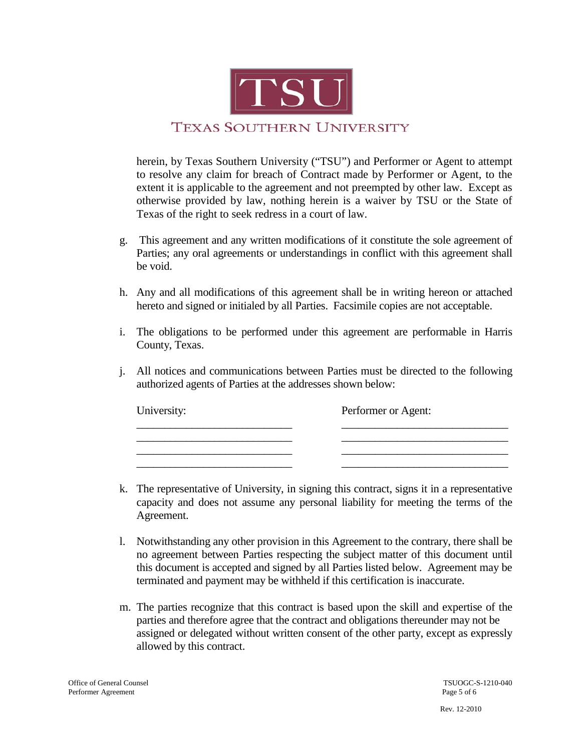

herein, by Texas Southern University ("TSU") and Performer or Agent to attempt to resolve any claim for breach of Contract made by Performer or Agent, to the extent it is applicable to the agreement and not preempted by other law. Except as otherwise provided by law, nothing herein is a waiver by TSU or the State of Texas of the right to seek redress in a court of law.

- g. This agreement and any written modifications of it constitute the sole agreement of Parties; any oral agreements or understandings in conflict with this agreement shall be void.
- h. Any and all modifications of this agreement shall be in writing hereon or attached hereto and signed or initialed by all Parties. Facsimile copies are not acceptable.
- i. The obligations to be performed under this agreement are performable in Harris County, Texas.
- j. All notices and communications between Parties must be directed to the following authorized agents of Parties at the addresses shown below:

| University: | Performer or Agent: |
|-------------|---------------------|
|             |                     |
|             |                     |

- k. The representative of University, in signing this contract, signs it in a representative capacity and does not assume any personal liability for meeting the terms of the Agreement.
- l. Notwithstanding any other provision in this Agreement to the contrary, there shall be no agreement between Parties respecting the subject matter of this document until this document is accepted and signed by all Parties listed below. Agreement may be terminated and payment may be withheld if this certification is inaccurate.
- m. The parties recognize that this contract is based upon the skill and expertise of the parties and therefore agree that the contract and obligations thereunder may not be assigned or delegated without written consent of the other party, except as expressly allowed by this contract.